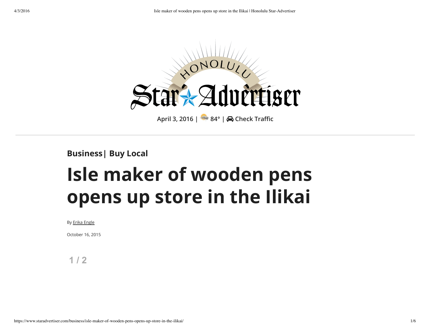

**Business| Buy Local**

# **Isle maker of wooden pens opens up store in the Ilikai**

#### By Erika Engle

October 16, 2015

**1 / 2**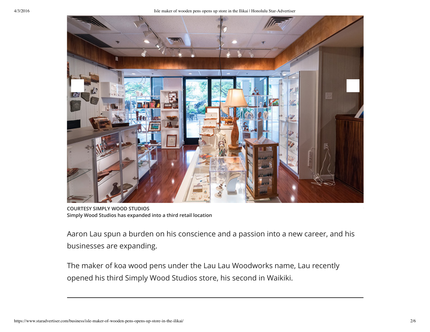

**COURTESY SIMPLY WOOD STUDIOS Simply Wood Studios has expanded into a third retail location**

Aaron Lau spun a burden on his conscience and a passion into a new career, and his businesses are expanding.

The maker of koa wood pens under the Lau Lau Woodworks name, Lau recently opened his third Simply Wood Studios store, his second in Waikiki.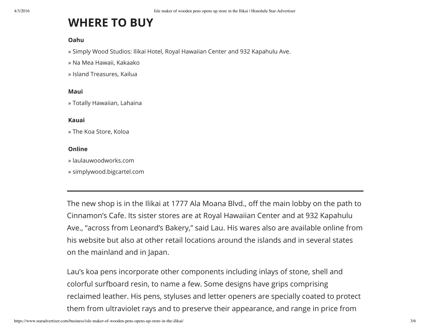## **WHERE TO BUY**

#### **Oahu**

» Simply Wood Studios: Ilikai Hotel, Royal Hawaiian Center and 932 Kapahulu Ave.

» Na Mea Hawaii, Kakaako

» Island Treasures, Kailua

#### **Maui**

» Totally Hawaiian, Lahaina

#### **Kauai**

» The Koa Store, Koloa

#### **Online**

» laulauwoodworks.com

» simplywood.bigcartel.com

The new shop is in the Ilikai at 1777 Ala Moana Blvd., off the main lobby on the path to Cinnamon's Cafe. Its sister stores are at Royal Hawaiian Center and at 932 Kapahulu Ave., "across from Leonard's Bakery," said Lau. His wares also are available online from his website but also at other retail locations around the islands and in several states on the mainland and in Japan.

Lau's koa pens incorporate other components including inlays of stone, shell and colorful surfboard resin, to name a few. Some designs have grips comprising reclaimed leather. His pens, styluses and letter openers are specially coated to protect them from ultraviolet rays and to preserve their appearance, and range in price from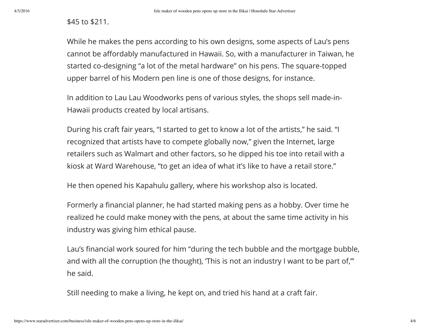### \$45 to \$211.

While he makes the pens according to his own designs, some aspects of Lau's pens cannot be affordably manufactured in Hawaii. So, with a manufacturer in Taiwan, he started co-designing "a lot of the metal hardware" on his pens. The square-topped upper barrel of his Modern pen line is one of those designs, for instance.

In addition to Lau Lau Woodworks pens of various styles, the shops sell made-in-Hawaii products created by local artisans.

During his craft fair years, "I started to get to know a lot of the artists," he said. "I recognized that artists have to compete globally now," given the Internet, large retailers such as Walmart and other factors, so he dipped his toe into retail with a kiosk at Ward Warehouse, "to get an idea of what it's like to have a retail store."

He then opened his Kapahulu gallery, where his workshop also is located.

Formerly a financial planner, he had started making pens as a hobby. Over time he realized he could make money with the pens, at about the same time activity in his industry was giving him ethical pause.

Lau's financial work soured for him "during the tech bubble and the mortgage bubble, and with all the corruption (he thought), 'This is not an industry I want to be part of,'" he said.

Still needing to make a living, he kept on, and tried his hand at a craft fair.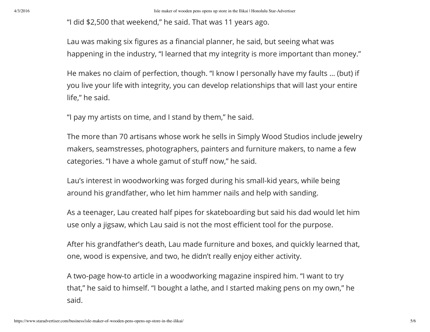"I did \$2,500 that weekend," he said. That was 11 years ago.

Lau was making six figures as a financial planner, he said, but seeing what was happening in the industry, "I learned that my integrity is more important than money."

He makes no claim of perfection, though. "I know I personally have my faults … (but) if you live your life with integrity, you can develop relationships that will last your entire life," he said.

"I pay my artists on time, and I stand by them," he said.

The more than 70 artisans whose work he sells in Simply Wood Studios include jewelry makers, seamstresses, photographers, painters and furniture makers, to name a few categories. "I have a whole gamut of stuff now," he said.

Lau's interest in woodworking was forged during his small-kid years, while being around his grandfather, who let him hammer nails and help with sanding.

As a teenager, Lau created half pipes for skateboarding but said his dad would let him use only a jigsaw, which Lau said is not the most efficient tool for the purpose.

After his grandfather's death, Lau made furniture and boxes, and quickly learned that, one, wood is expensive, and two, he didn't really enjoy either activity.

A two-page how-to article in a woodworking magazine inspired him. "I want to try that," he said to himself. "I bought a lathe, and I started making pens on my own," he said.